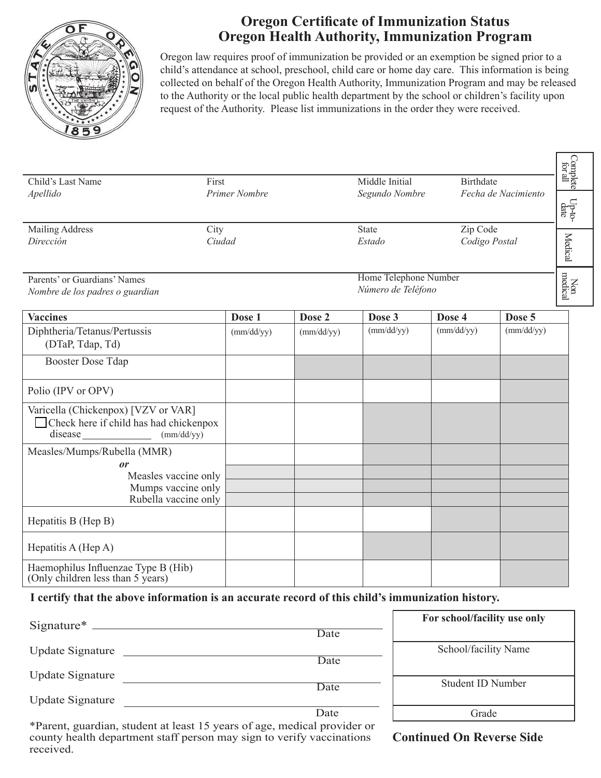

## **Oregon Certificate of Immunization Status Oregon Health Authority, Immunization Program**

Oregon law requires proof of immunization be provided or an exemption be signed prior to a child's attendance at school, preschool, child care or home day care. This information is being collected on behalf of the Oregon Health Authority, Immunization Program and may be released to the Authority or the local public health department by the school or children's facility upon request of the Authority. Please list immunizations in the order they were received.

| Child's Last Name<br>Apellido                                                                          | First      | Primer Nombre |                                             | Segundo Nombre | <b>Birthdate</b><br>Fecha de Nacimiento |                |
|--------------------------------------------------------------------------------------------------------|------------|---------------|---------------------------------------------|----------------|-----------------------------------------|----------------|
|                                                                                                        |            |               |                                             |                |                                         |                |
| <b>Mailing Address</b><br>City<br>Dirección                                                            | Ciudad     |               | <b>State</b><br>Estado                      |                | Zip Code<br>Codigo Postal               |                |
| Parents' or Guardians' Names<br>Nombre de los padres o guardian                                        |            |               | Home Telephone Number<br>Número de Teléfono |                |                                         | Non<br>medical |
| <b>Vaccines</b>                                                                                        | Dose 1     | Dose 2        | Dose 3                                      | Dose 4         | Dose 5                                  |                |
| Diphtheria/Tetanus/Pertussis<br>(DTaP, Tdap, Td)                                                       | (mm/dd/yy) | (mm/dd/yy)    | (mm/dd/yy)                                  | (mm/dd/yy)     | (mm/dd/yy)                              |                |
| <b>Booster Dose Tdap</b>                                                                               |            |               |                                             |                |                                         |                |
| Polio (IPV or OPV)                                                                                     |            |               |                                             |                |                                         |                |
| Varicella (Chickenpox) [VZV or VAR]<br>Check here if child has had chickenpox<br>disease<br>(mm/dd/yy) |            |               |                                             |                |                                         |                |
| Measles/Mumps/Rubella (MMR)                                                                            |            |               |                                             |                |                                         |                |
| or<br>Measles vaccine only                                                                             |            |               |                                             |                |                                         |                |
| Mumps vaccine only                                                                                     |            |               |                                             |                |                                         |                |
| Rubella vaccine only                                                                                   |            |               |                                             |                |                                         |                |
| Hepatitis B (Hep B)                                                                                    |            |               |                                             |                |                                         |                |
| Hepatitis A (Hep A)                                                                                    |            |               |                                             |                |                                         |                |
| Haemophilus Influenzae Type B (Hib)<br>(Only children less than 5 years)                               |            |               |                                             |                |                                         |                |

## **I certify that the above information is an accurate record of this child's immunization history.**

| $Sigma^*$                                                             |      | For school/facility use only |  |  |
|-----------------------------------------------------------------------|------|------------------------------|--|--|
|                                                                       | Date |                              |  |  |
| <b>Update Signature</b>                                               | Date | School/facility Name         |  |  |
| <b>Update Signature</b>                                               |      | <b>Student ID Number</b>     |  |  |
|                                                                       | Date |                              |  |  |
| <b>Update Signature</b>                                               |      |                              |  |  |
|                                                                       | Date | Grade                        |  |  |
| *Parent quardian student at least 15 years of age medical provider or |      |                              |  |  |

, student at least 15 years of age, medical provider or county health department staff person may sign to verify vaccinations received.

**Continued On Reverse Side**